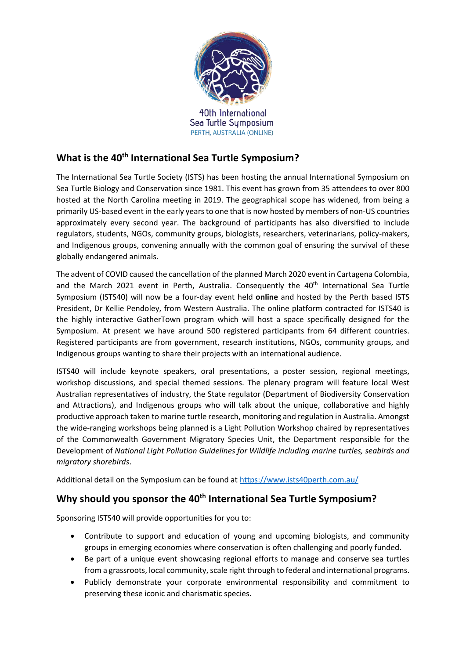

# **What is the 40th International Sea Turtle Symposium?**

The International Sea Turtle Society (ISTS) has been hosting the annual International Symposium on Sea Turtle Biology and Conservation since 1981. This event has grown from 35 attendees to over 800 hosted at the North Carolina meeting in 2019. The geographical scope has widened, from being a primarily US-based event in the early years to one that is now hosted by members of non-US countries approximately every second year. The background of participants has also diversified to include regulators, students, NGOs, community groups, biologists, researchers, veterinarians, policy-makers, and Indigenous groups, convening annually with the common goal of ensuring the survival of these globally endangered animals.

The advent of COVID caused the cancellation of the planned March 2020 event in Cartagena Colombia, and the March 2021 event in Perth, Australia. Consequently the 40<sup>th</sup> International Sea Turtle Symposium (ISTS40) will now be a four-day event held **online** and hosted by the Perth based ISTS President, Dr Kellie Pendoley, from Western Australia. The online platform contracted for ISTS40 is the highly interactive GatherTown program which will host a space specifically designed for the Symposium. At present we have around 500 registered participants from 64 different countries. Registered participants are from government, research institutions, NGOs, community groups, and Indigenous groups wanting to share their projects with an international audience.

ISTS40 will include keynote speakers, oral presentations, a poster session, regional meetings, workshop discussions, and special themed sessions. The plenary program will feature local West Australian representatives of industry, the State regulator (Department of Biodiversity Conservation and Attractions), and Indigenous groups who will talk about the unique, collaborative and highly productive approach taken to marine turtle research, monitoring and regulation in Australia. Amongst the wide-ranging workshops being planned is a Light Pollution Workshop chaired by representatives of the Commonwealth Government Migratory Species Unit, the Department responsible for the Development of *National Light Pollution Guidelines for Wildlife including marine turtles, seabirds and migratory shorebirds*.

Additional detail on the Symposium can be found at<https://www.ists40perth.com.au/>

# Why should you sponsor the 40<sup>th</sup> International Sea Turtle Symposium?

Sponsoring ISTS40 will provide opportunities for you to:

- Contribute to support and education of young and upcoming biologists, and community groups in emerging economies where conservation is often challenging and poorly funded.
- Be part of a unique event showcasing regional efforts to manage and conserve sea turtles from a grassroots, local community, scale right through to federal and international programs.
- Publicly demonstrate your corporate environmental responsibility and commitment to preserving these iconic and charismatic species.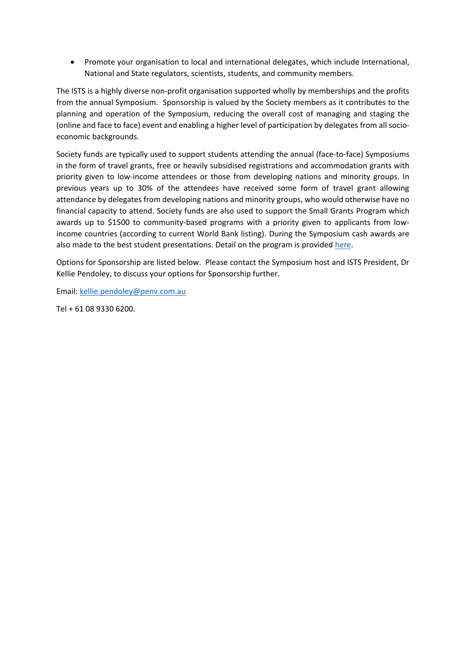• Promote your organisation to local and international delegates, which include International, National and State regulators, scientists, students, and community members.

The ISTS is a highly diverse non-profit organisation supported wholly by memberships and the profits from the annual Symposium. Sponsorship is valued by the Society members as it contributes to the planning and operation of the Symposium, reducing the overall cost of managing and staging the (online and face to face) event and enabling a higher level of participation by delegates from all socioeconomic backgrounds.

Society funds are typically used to support students attending the annual (face-to-face) Symposiums in the form of travel grants, free or heavily subsidised registrations and accommodation grants with priority given to low-income attendees or those from developing nations and minority groups. In previous years up to 30% of the attendees have received some form of travel grant allowing attendance by delegates from developing nations and minority groups, who would otherwise have no financial capacity to attend. Society funds are also used to support the Small Grants Program which awards up to \$1500 to community-based programs with a priority given to applicants from lowincome countries (according to current World Bank listing). During the Symposium cash awards are also made to the best student presentations. Detail on the program is provided [here.](https://internationalseaturtlesociety.org/wp-content/uploads/2021/06/ISTS-Small-Grants-Release-16Jun21.pdf)

Options for Sponsorship are listed below. Please contact the Symposium host and ISTS President, Dr Kellie Pendoley, to discuss your options for Sponsorship further.

Email: [kellie.pendoley@penv.com.au](mailto:kellie.pendoley@penv.com.au)

Tel + 61 08 9330 6200.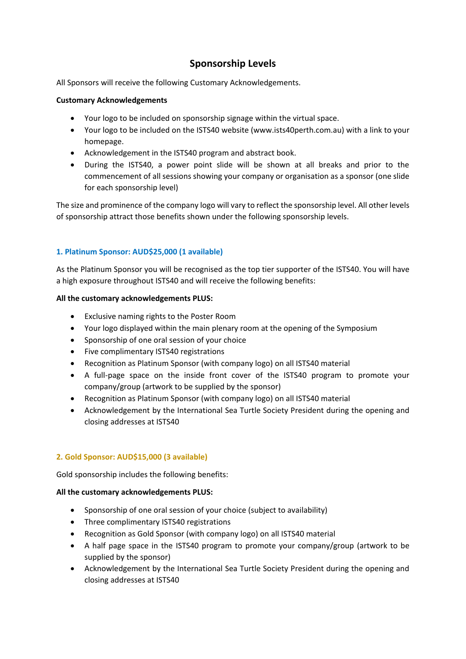# **Sponsorship Levels**

All Sponsors will receive the following Customary Acknowledgements.

## **Customary Acknowledgements**

- Your logo to be included on sponsorship signage within the virtual space.
- Your logo to be included on the ISTS40 website [\(www.ists40perth.com.au\)](http://www.ists40perth.com.au/) with a link to your homepage.
- Acknowledgement in the ISTS40 program and abstract book.
- During the ISTS40, a power point slide will be shown at all breaks and prior to the commencement of all sessions showing your company or organisation as a sponsor (one slide for each sponsorship level)

The size and prominence of the company logo will vary to reflect the sponsorship level. All other levels of sponsorship attract those benefits shown under the following sponsorship levels.

# **1. Platinum Sponsor: AUD\$25,000 (1 available)**

As the Platinum Sponsor you will be recognised as the top tier supporter of the ISTS40. You will have a high exposure throughout ISTS40 and will receive the following benefits:

## **All the customary acknowledgements PLUS:**

- Exclusive naming rights to the Poster Room
- Your logo displayed within the main plenary room at the opening of the Symposium
- Sponsorship of one oral session of your choice
- Five complimentary ISTS40 registrations
- Recognition as Platinum Sponsor (with company logo) on all ISTS40 material
- A full-page space on the inside front cover of the ISTS40 program to promote your company/group (artwork to be supplied by the sponsor)
- Recognition as Platinum Sponsor (with company logo) on all ISTS40 material
- Acknowledgement by the International Sea Turtle Society President during the opening and closing addresses at ISTS40

# **2. Gold Sponsor: AUD\$15,000 (3 available)**

Gold sponsorship includes the following benefits:

### **All the customary acknowledgements PLUS:**

- Sponsorship of one oral session of your choice (subject to availability)
- Three complimentary ISTS40 registrations
- Recognition as Gold Sponsor (with company logo) on all ISTS40 material
- A half page space in the ISTS40 program to promote your company/group (artwork to be supplied by the sponsor)
- Acknowledgement by the International Sea Turtle Society President during the opening and closing addresses at ISTS40